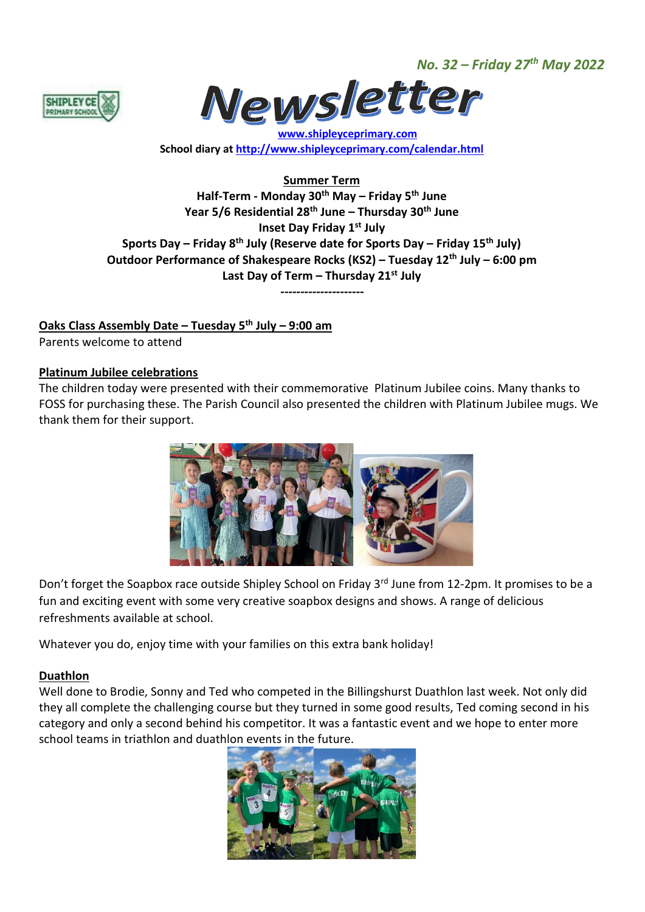*No. 32 – Friday 27th May 2022*





 **[www.shipleyceprimary.com](http://www.shipleyceprimary.com/) School diary a[t http://www.shipleyceprimary.com/calendar.html](http://www.shipleyceprimary.com/calendar.html)**

**Summer Term**

**Half-Term - Monday 30th May – Friday 5th June Year 5/6 Residential 28th June – Thursday 30th June Inset Day Friday 1st July Sports Day – Friday 8th July (Reserve date for Sports Day – Friday 15th July) Outdoor Performance of Shakespeare Rocks (KS2) – Tuesday 12th July – 6:00 pm Last Day of Term – Thursday 21st July**

**---------------------**

# **Oaks Class Assembly Date – Tuesday 5 th July – 9:00 am**

Parents welcome to attend

#### **Platinum Jubilee celebrations**

The children today were presented with their commemorative Platinum Jubilee coins. Many thanks to FOSS for purchasing these. The Parish Council also presented the children with Platinum Jubilee mugs. We thank them for their support.



Don't forget the Soapbox race outside Shipley School on Friday 3rd June from 12-2pm. It promises to be a fun and exciting event with some very creative soapbox designs and shows. A range of delicious refreshments available at school.

Whatever you do, enjoy time with your families on this extra bank holiday!

## **Duathlon**

Well done to Brodie, Sonny and Ted who competed in the Billingshurst Duathlon last week. Not only did they all complete the challenging course but they turned in some good results, Ted coming second in his category and only a second behind his competitor. It was a fantastic event and we hope to enter more school teams in triathlon and duathlon events in the future.